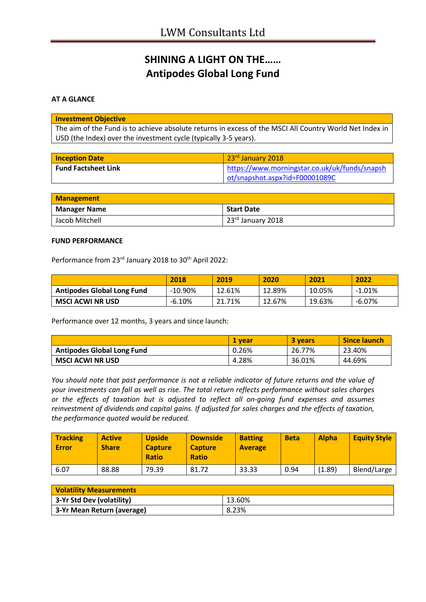# **SHINING A LIGHT ON THE…… Antipodes Global Long Fund**

#### **AT A GLANCE**

| <b>Investment Objective</b>                                                                             |
|---------------------------------------------------------------------------------------------------------|
| The aim of the Fund is to achieve absolute returns in excess of the MSCI All Country World Net Index in |
| USD (the Index) over the investment cycle (typically 3-5 years).                                        |

| <b>Inception Date</b>      | 23rd January 2018                             |
|----------------------------|-----------------------------------------------|
| <b>Fund Factsheet Link</b> | https://www.morningstar.co.uk/uk/funds/snapsh |
|                            | ot/snapshot.aspx?id=F00001089C                |

| <b>Management</b>   |                   |  |
|---------------------|-------------------|--|
| <b>Manager Name</b> | <b>Start Date</b> |  |
| Jacob Mitchell      | 23rd January 2018 |  |

#### **FUND PERFORMANCE**

Performance from 23<sup>rd</sup> January 2018 to 30<sup>th</sup> April 2022:

|                                   | 2018       | 2019   | 2020   | 2021   | 2022   |
|-----------------------------------|------------|--------|--------|--------|--------|
| <b>Antipodes Global Long Fund</b> | $-10.90\%$ | 12.61% | 12.89% | 10.05% | -1.01% |
| <b>MSCI ACWI NR USD</b>           | $-6.10%$   | 21.71% | 12.67% | 19.63% | -6.07% |

Performance over 12 months, 3 years and since launch:

|                                   | 1 vear | 3 years | <b>Since launch</b> |
|-----------------------------------|--------|---------|---------------------|
| <b>Antipodes Global Long Fund</b> | 0.26%  | 26.77%  | 23.40%              |
| <b>MSCI ACWI NR USD</b>           | 4.28%  | 36.01%  | 44.69%              |

*You should note that past performance is not a reliable indicator of future returns and the value of your investments can fall as well as rise. The total return reflects performance without sales charges or the effects of taxation but is adjusted to reflect all on-going fund expenses and assumes reinvestment of dividends and capital gains. If adjusted for sales charges and the effects of taxation, the performance quoted would be reduced.*

| <b>Tracking</b><br><b>Error</b> | <b>Active</b><br><b>Share</b> | <b>Upside</b><br><b>Capture</b><br><b>Ratio</b> | <b>Downside</b><br><b>Capture</b><br><b>Ratio</b> | <b>Batting</b><br><b>Average</b> | <b>Beta</b> | <b>Alpha</b> | <b>Equity Style</b> |
|---------------------------------|-------------------------------|-------------------------------------------------|---------------------------------------------------|----------------------------------|-------------|--------------|---------------------|
| 6.07                            | 88.88                         | 79.39                                           | 81.72                                             | 33.33                            | 0.94        | (1.89)       | Blend/Large         |

| <b>Volatility Measurements</b> |        |  |
|--------------------------------|--------|--|
| 3-Yr Std Dev (volatility)      | 13.60% |  |
| 3-Yr Mean Return (average)     | 8.23%  |  |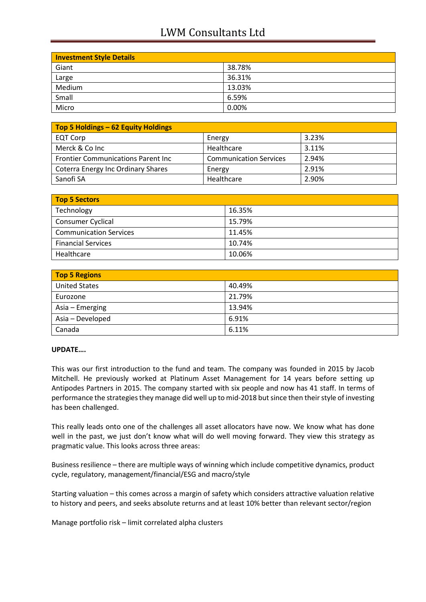## LWM Consultants Ltd

| <b>Investment Style Details</b> |        |  |
|---------------------------------|--------|--|
| Giant                           | 38.78% |  |
| Large                           | 36.31% |  |
| Medium                          | 13.03% |  |
| Small                           | 6.59%  |  |
| Micro                           | 0.00%  |  |

| Top 5 Holdings - 62 Equity Holdings        |                               |       |  |
|--------------------------------------------|-------------------------------|-------|--|
| <b>EQT Corp</b>                            | Energy                        | 3.23% |  |
| Merck & Co Inc                             | Healthcare                    | 3.11% |  |
| <b>Frontier Communications Parent Inc.</b> | <b>Communication Services</b> | 2.94% |  |
| <b>Coterra Energy Inc Ordinary Shares</b>  | Energy                        | 2.91% |  |
| Sanofi SA                                  | Healthcare                    | 2.90% |  |

| <b>Top 5 Sectors</b>          |        |  |
|-------------------------------|--------|--|
| Technology                    | 16.35% |  |
| <b>Consumer Cyclical</b>      | 15.79% |  |
| <b>Communication Services</b> | 11.45% |  |
| <b>Financial Services</b>     | 10.74% |  |
| Healthcare                    | 10.06% |  |

| <b>Top 5 Regions</b> |        |
|----------------------|--------|
| <b>United States</b> | 40.49% |
| Eurozone             | 21.79% |
| Asia – Emerging      | 13.94% |
| Asia - Developed     | 6.91%  |
| Canada               | 6.11%  |

### **UPDATE….**

This was our first introduction to the fund and team. The company was founded in 2015 by Jacob Mitchell. He previously worked at Platinum Asset Management for 14 years before setting up Antipodes Partners in 2015. The company started with six people and now has 41 staff. In terms of performance the strategies they manage did well up to mid-2018 but since then their style of investing has been challenged.

This really leads onto one of the challenges all asset allocators have now. We know what has done well in the past, we just don't know what will do well moving forward. They view this strategy as pragmatic value. This looks across three areas:

Business resilience – there are multiple ways of winning which include competitive dynamics, product cycle, regulatory, management/financial/ESG and macro/style

Starting valuation – this comes across a margin of safety which considers attractive valuation relative to history and peers, and seeks absolute returns and at least 10% better than relevant sector/region

Manage portfolio risk – limit correlated alpha clusters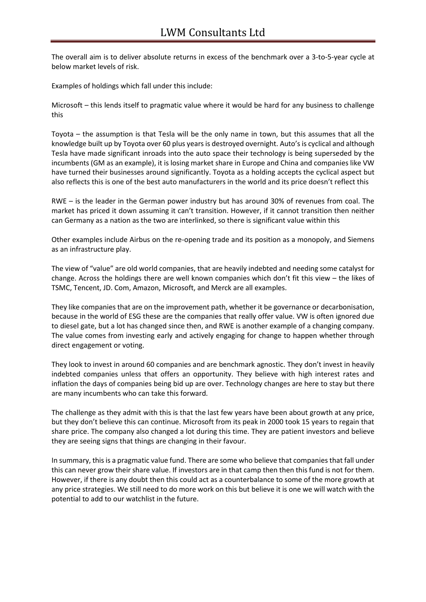The overall aim is to deliver absolute returns in excess of the benchmark over a 3-to-5-year cycle at below market levels of risk.

Examples of holdings which fall under this include:

Microsoft – this lends itself to pragmatic value where it would be hard for any business to challenge this

Toyota – the assumption is that Tesla will be the only name in town, but this assumes that all the knowledge built up by Toyota over 60 plus years is destroyed overnight. Auto's is cyclical and although Tesla have made significant inroads into the auto space their technology is being superseded by the incumbents (GM as an example), it is losing market share in Europe and China and companies like VW have turned their businesses around significantly. Toyota as a holding accepts the cyclical aspect but also reflects this is one of the best auto manufacturers in the world and its price doesn't reflect this

RWE – is the leader in the German power industry but has around 30% of revenues from coal. The market has priced it down assuming it can't transition. However, if it cannot transition then neither can Germany as a nation as the two are interlinked, so there is significant value within this

Other examples include Airbus on the re-opening trade and its position as a monopoly, and Siemens as an infrastructure play.

The view of "value" are old world companies, that are heavily indebted and needing some catalyst for change. Across the holdings there are well known companies which don't fit this view – the likes of TSMC, Tencent, JD. Com, Amazon, Microsoft, and Merck are all examples.

They like companies that are on the improvement path, whether it be governance or decarbonisation, because in the world of ESG these are the companies that really offer value. VW is often ignored due to diesel gate, but a lot has changed since then, and RWE is another example of a changing company. The value comes from investing early and actively engaging for change to happen whether through direct engagement or voting.

They look to invest in around 60 companies and are benchmark agnostic. They don't invest in heavily indebted companies unless that offers an opportunity. They believe with high interest rates and inflation the days of companies being bid up are over. Technology changes are here to stay but there are many incumbents who can take this forward.

The challenge as they admit with this is that the last few years have been about growth at any price, but they don't believe this can continue. Microsoft from its peak in 2000 took 15 years to regain that share price. The company also changed a lot during this time. They are patient investors and believe they are seeing signs that things are changing in their favour.

In summary, this is a pragmatic value fund. There are some who believe that companies that fall under this can never grow their share value. If investors are in that camp then then this fund is not for them. However, if there is any doubt then this could act as a counterbalance to some of the more growth at any price strategies. We still need to do more work on this but believe it is one we will watch with the potential to add to our watchlist in the future.